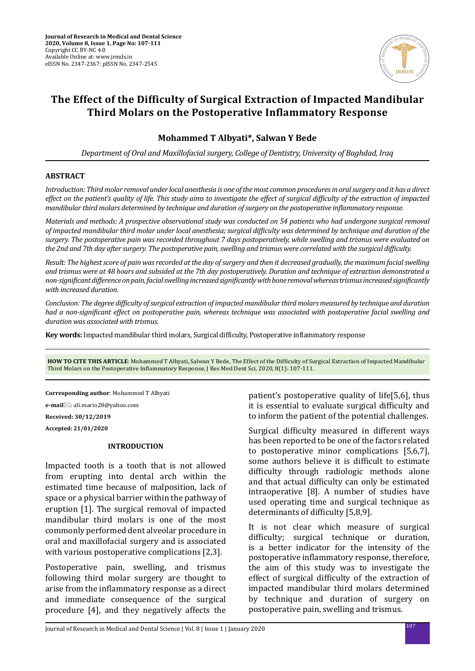

# **The Effect of the Difficulty of Surgical Extraction of Impacted Mandibular Third Molars on the Postoperative Inflammatory Response**

## **Mohammed T Albyati\*, Salwan Y Bede**

*Department of Oral and Maxillofacial surgery, College of Dentistry, University of Baghdad, Iraq*

### **ABSTRACT**

*Introduction: Third molar removal under local anesthesia is one of the most common procedures in oral surgery and it has a direct effect on the patient's quality of life. This study aims to investigate the effect of surgical difficulty of the extraction of impacted mandibular third molars determined by technique and duration of surgery on the postoperative inflammatory response.*

*Materials and methods: A prospective observational study was conducted on 54 patients who had undergone surgical removal of impacted mandibular third molar under local anesthesia; surgical difficulty was determined by technique and duration of the surgery. The postoperative pain was recorded throughout 7 days postoperatively, while swelling and trismus were evaluated on the 2nd and 7th day after surgery. The postoperative pain, swelling and trismus were correlated with the surgical difficulty.* 

*Result: The highest score of pain was recorded at the day of surgery and then it decreased gradually, the maximum facial swelling and trismus were at 48 hours and subsided at the 7th day postoperatively. Duration and technique of extraction demonstrated a non-significant difference on pain, facial swelling increased significantly with bone removal whereas trismus increased significantly with increased duration.* 

*Conclusion: The degree difficulty of surgical extraction of impacted mandibular third molars measured by technique and duration had a non-significant effect on postoperative pain, whereas technique was associated with postoperative facial swelling and duration was associated with trismus.*

**Key words:** Impacted mandibular third molars, Surgical difficulty, Postoperative inflammatory response

**HOW TO CITE THIS ARTICLE**: Mohammed T Albyati, Salwan Y Bede, The Effect of the Difficulty of Surgical Extraction of Impacted Mandibular Third Molars on the Postoperative Inflammatory Response, J Res Med Dent Sci, 2020, 8(1): 107-111.

**Corresponding author**: Mohammed T Albyati

**e-mail**⊠: ali.mario28@yahoo.com

**Received: 30/12/2019**

**Accepted: 21/01/2020**

## **INTRODUCTION**

Impacted tooth is a tooth that is not allowed from erupting into dental arch within the estimated time because of malposition, lack of space or a physical barrier within the pathway of eruption [1]. The surgical removal of impacted mandibular third molars is one of the most commonly performed dent alveolar procedure in oral and maxillofacial surgery and is associated with various postoperative complications [2,3].

Postoperative pain, swelling, and trismus following third molar surgery are thought to arise from the inflammatory response as a direct and immediate consequence of the surgical procedure [4], and they negatively affects the

patient's postoperative quality of life[5,6], thus it is essential to evaluate surgical difficulty and to inform the patient of the potential challenges.

Surgical difficulty measured in different ways has been reported to be one of the factors related to postoperative minor complications [5,6,7], some authors believe it is difficult to estimate difficulty through radiologic methods alone and that actual difficulty can only be estimated intraoperative [8]. A number of studies have used operating time and surgical technique as determinants of difficulty [5,8,9].

It is not clear which measure of surgical difficulty; surgical technique or duration, is a better indicator for the intensity of the postoperative inflammatory response, therefore, the aim of this study was to investigate the effect of surgical difficulty of the extraction of impacted mandibular third molars determined by technique and duration of surgery on postoperative pain, swelling and trismus.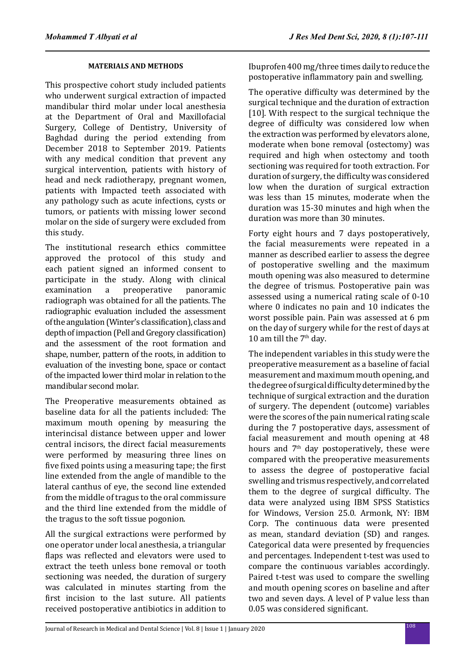## **MATERIALS AND METHODS**

This prospective cohort study included patients who underwent surgical extraction of impacted mandibular third molar under local anesthesia at the Department of Oral and Maxillofacial Surgery, College of Dentistry, University of Baghdad during the period extending from December 2018 to September 2019. Patients with any medical condition that prevent any surgical intervention, patients with history of head and neck radiotherapy, pregnant women, patients with Impacted teeth associated with any pathology such as acute infections, cysts or tumors, or patients with missing lower second molar on the side of surgery were excluded from this study.

The institutional research ethics committee approved the protocol of this study and each patient signed an informed consent to participate in the study. Along with clinical<br>examination a preoperative panoramic preoperative radiograph was obtained for all the patients. The radiographic evaluation included the assessment of the angulation (Winter's classification), class and depth of impaction (Pell and Gregory classification) and the assessment of the root formation and shape, number, pattern of the roots, in addition to evaluation of the investing bone, space or contact of the impacted lower third molar in relation to the mandibular second molar.

The Preoperative measurements obtained as baseline data for all the patients included: The maximum mouth opening by measuring the interincisal distance between upper and lower central incisors, the direct facial measurements were performed by measuring three lines on five fixed points using a measuring tape; the first line extended from the angle of mandible to the lateral canthus of eye, the second line extended from the middle of tragus to the oral commissure and the third line extended from the middle of the tragus to the soft tissue pogonion.

All the surgical extractions were performed by one operator under local anesthesia, a triangular flaps was reflected and elevators were used to extract the teeth unless bone removal or tooth sectioning was needed, the duration of surgery was calculated in minutes starting from the first incision to the last suture. All patients received postoperative antibiotics in addition to Ibuprofen 400 mg/three times daily to reduce the postoperative inflammatory pain and swelling.

The operative difficulty was determined by the surgical technique and the duration of extraction [10]. With respect to the surgical technique the degree of difficulty was considered low when the extraction was performed by elevators alone, moderate when bone removal (ostectomy) was required and high when ostectomy and tooth sectioning was required for tooth extraction. For duration of surgery, the difficulty was considered low when the duration of surgical extraction was less than 15 minutes, moderate when the duration was 15-30 minutes and high when the duration was more than 30 minutes.

Forty eight hours and 7 days postoperatively, the facial measurements were repeated in a manner as described earlier to assess the degree of postoperative swelling and the maximum mouth opening was also measured to determine the degree of trismus. Postoperative pain was assessed using a numerical rating scale of 0-10 where 0 indicates no pain and 10 indicates the worst possible pain. Pain was assessed at 6 pm on the day of surgery while for the rest of days at 10 am till the  $7<sup>th</sup>$  day.

The independent variables in this study were the preoperative measurement as a baseline of facial measurement and maximum mouth opening, and the degree of surgical difficulty determined by the technique of surgical extraction and the duration of surgery. The dependent (outcome) variables were the scores of the pain numerical rating scale during the 7 postoperative days, assessment of facial measurement and mouth opening at 48 hours and  $7<sup>th</sup>$  day postoperatively, these were compared with the preoperative measurements to assess the degree of postoperative facial swelling and trismus respectively, and correlated them to the degree of surgical difficulty. The data were analyzed using IBM SPSS Statistics for Windows, Version 25.0. Armonk, NY: IBM Corp. The continuous data were presented as mean, standard deviation (SD) and ranges. Categorical data were presented by frequencies and percentages. Independent t-test was used to compare the continuous variables accordingly. Paired t-test was used to compare the swelling and mouth opening scores on baseline and after two and seven days. A level of P value less than 0.05 was considered significant.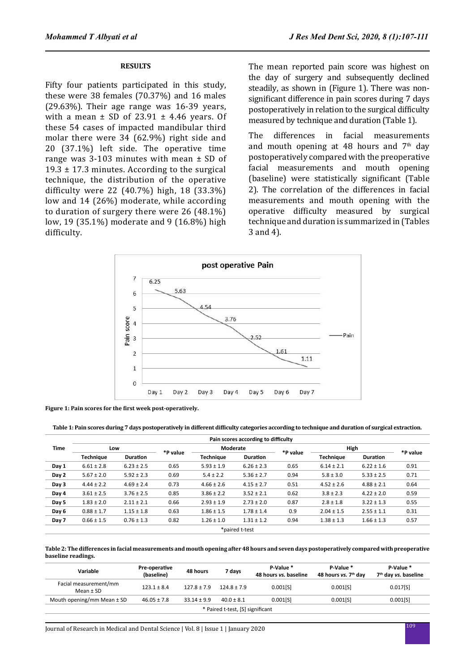#### **RESULTS**

Fifty four patients participated in this study, these were 38 females (70.37%) and 16 males  $(29.63\%)$ . Their age range was 16-39 years, with a mean  $\pm$  SD of 23.91  $\pm$  4.46 years. Of these 54 cases of impacted mandibular third molar there were 34 (62.9%) right side and 20 (37.1%) left side. The operative time range was 3-103 minutes with mean ± SD of 19.3  $\pm$  17.3 minutes. According to the surgical technique, the distribution of the operative difficulty were 22 (40.7%) high, 18 (33.3%) low and 14 (26%) moderate, while according to duration of surgery there were 26 (48.1%) low, 19 (35.1%) moderate and 9 (16.8%) high difficulty.

The mean reported pain score was highest on the day of surgery and subsequently declined steadily, as shown in (Figure 1). There was nonsignificant difference in pain scores during 7 days postoperatively in relation to the surgical difficulty measured by technique and duration (Table 1).

The differences in facial measurements and mouth opening at 48 hours and  $7<sup>th</sup>$  day postoperatively compared with the preoperative facial measurements and mouth opening (baseline) were statistically significant (Table 2). The correlation of the differences in facial measurements and mouth opening with the operative difficulty measured by surgical technique and duration is summarized in (Tables 3 and 4).



**Figure 1: Pain scores for the first week post-operatively.**

**Table 1: Pain scores during 7 days postoperatively in different difficulty categories according to technique and duration of surgical extraction.**

|                | Pain scores according to difficulty |                 |          |                  |                 |          |                  |                 |          |
|----------------|-------------------------------------|-----------------|----------|------------------|-----------------|----------|------------------|-----------------|----------|
| <b>Time</b>    | Low                                 |                 |          | Moderate         |                 |          | High             |                 |          |
|                | <b>Technique</b>                    | <b>Duration</b> | *P value | <b>Technique</b> | <b>Duration</b> | *P value | <b>Technique</b> | <b>Duration</b> | *P value |
| Day 1          | $6.61 \pm 2.8$                      | $6.23 \pm 2.5$  | 0.65     | $5.93 \pm 1.9$   | $6.26 \pm 2.3$  | 0.65     | $6.14 \pm 2.1$   | $6.22 \pm 1.6$  | 0.91     |
| Day 2          | $5.67 \pm 2.0$                      | $5.92 \pm 2.3$  | 0.69     | $5.4 \pm 2.2$    | $5.36 \pm 2.7$  | 0.94     | $5.8 \pm 3.0$    | $5.33 \pm 2.5$  | 0.71     |
| Day 3          | $4.44 \pm 2.2$                      | $4.69 \pm 2.4$  | 0.73     | $4.66 \pm 2.6$   | $4.15 \pm 2.7$  | 0.51     | $4.52 \pm 2.6$   | $4.88 \pm 2.1$  | 0.64     |
| Day 4          | $3.61 \pm 2.5$                      | $3.76 \pm 2.5$  | 0.85     | $3.86 \pm 2.2$   | $3.52 \pm 2.1$  | 0.62     | $3.8 \pm 2.3$    | $4.22 \pm 2.0$  | 0.59     |
| Day 5          | $1.83 \pm 2.0$                      | $2.11 \pm 2.1$  | 0.66     | $2.93 \pm 1.9$   | $2.73 \pm 2.0$  | 0.87     | $2.8 \pm 1.8$    | $3.22 \pm 1.3$  | 0.55     |
| Day 6          | $0.88 \pm 1.7$                      | $1.15 \pm 1.8$  | 0.63     | $1.86 \pm 1.5$   | $1.78 \pm 1.4$  | 0.9      | $2.04 \pm 1.5$   | $2.55 \pm 1.1$  | 0.31     |
| Day 7          | $0.66 \pm 1.5$                      | $0.76 \pm 1.3$  | 0.82     | $1.26 \pm 1.0$   | $1.31 \pm 1.2$  | 0.94     | $1.38 \pm 1.3$   | $1.66 \pm 1.3$  | 0.57     |
| *paired t-test |                                     |                 |          |                  |                 |          |                  |                 |          |

**Table 2: The differences in facial measurements and mouth opening after 48 hours and seven days postoperatively compared with preoperative baseline readings.**

| Variable                               | Pre-operative<br>(baseline) | 48 hours        | 7 days         | P-Value *<br>48 hours vs. baseline | P-Value *<br>48 hours vs. 7 <sup>th</sup> day | P-Value *<br>7 <sup>th</sup> day vs. baseline |  |
|----------------------------------------|-----------------------------|-----------------|----------------|------------------------------------|-----------------------------------------------|-----------------------------------------------|--|
| Facial measurement/mm<br>Mean $\pm$ SD | $123.1 \pm 8.4$             | $127.8 \pm 7.9$ | $124.8 + 7.9$  | 0.001[S]                           | 0.001[S]                                      | 0.017[S]                                      |  |
| Mouth opening/mm Mean $\pm$ SD         | $46.05 \pm 7.8$             | $33.14 \pm 9.9$ | $40.0 \pm 8.1$ | 0.001[S]                           | 0.001[S]                                      | 0.001[S]                                      |  |
| * Paired t-test, [S] significant       |                             |                 |                |                                    |                                               |                                               |  |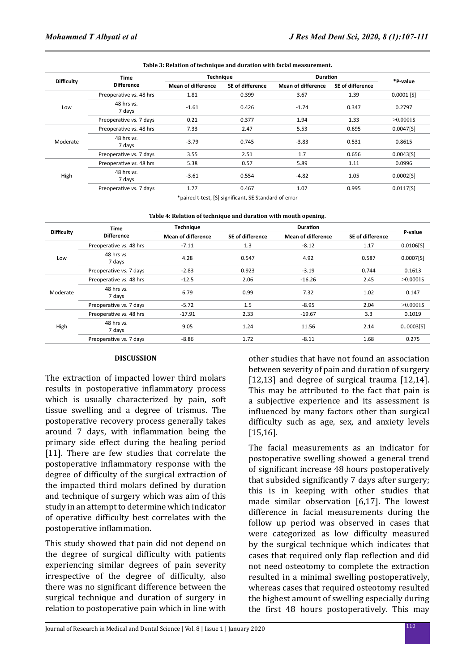| <b>Difficulty</b> | <b>Time</b>             | <b>Technique</b>          |                  | <b>Duration</b>           |                         |              |
|-------------------|-------------------------|---------------------------|------------------|---------------------------|-------------------------|--------------|
|                   | <b>Difference</b>       | <b>Mean of difference</b> | SE of difference | <b>Mean of difference</b> | <b>SE of difference</b> | *P-value     |
|                   | Preoperative vs. 48 hrs | 1.81                      | 0.399            | 3.67                      | 1.39                    | $0.0001$ [S] |
| Low               | 48 hrs vs.<br>7 days    | $-1.61$                   | 0.426            | $-1.74$                   | 0.347                   | 0.2797       |
|                   | Preoperative vs. 7 days | 0.21                      | 0.377            | 1.94                      | 1.33                    | $>0.0001$ S  |
|                   | Preoperative vs. 48 hrs | 7.33                      | 2.47             | 5.53                      | 0.695                   | 0.0047[S]    |
| Moderate          | 48 hrs vs.<br>7 days    | $-3.79$                   | 0.745            | $-3.83$                   | 0.531                   | 0.8615       |
|                   | Preoperative vs. 7 days | 3.55                      | 2.51             | 1.7                       | 0.656                   | 0.0043[5]    |
|                   | Preoperative vs. 48 hrs | 5.38                      | 0.57             | 5.89                      | 1.11                    | 0.0996       |
| High              | 48 hrs vs.<br>7 days    | $-3.61$                   | 0.554            | $-4.82$                   | 1.05                    | 0.0002[5]    |
|                   | Preoperative vs. 7 days | 1.77                      | 0.467            | 1.07                      | 0.995                   | 0.0117[S]    |

| Table 4: Relation of technique and duration with mouth opening. |  |
|-----------------------------------------------------------------|--|
|                                                                 |  |

|                   | Time                     | <b>Technique</b>          |                         |                           |                  |             |
|-------------------|--------------------------|---------------------------|-------------------------|---------------------------|------------------|-------------|
| <b>Difficulty</b> | <b>Difference</b>        | <b>Mean of difference</b> | <b>SE of difference</b> | <b>Mean of difference</b> | SE of difference | P-value     |
| Low               | Preoperative vs. 48 hrs  | $-7.11$                   | 1.3                     | $-8.12$                   | 1.17             | 0.0106[S]   |
|                   | 48 hrs vs.<br>7 days     | 4.28                      | 0.547                   | 4.92                      | 0.587            | 0.0007[S]   |
|                   | Preoperative vs. 7 days  | $-2.83$                   | 0.923                   | $-3.19$                   | 0.744            | 0.1613      |
| Moderate          | Preoperative vs. 48 hrs  | $-12.5$                   | 2.06                    | $-16.26$                  | 2.45             | $>0.0001$ S |
|                   | 48 hrs vs.<br>7 days     | 6.79                      | 0.99                    | 7.32                      | 1.02             | 0.147       |
|                   | Preoperative vs. 7 days  | $-5.72$                   | 1.5                     | $-8.95$                   | 2.04             | $>0.0001$ S |
| High              | Preoperative vs. 48 hrs  | $-17.91$                  | 2.33                    | $-19.67$                  | 3.3              | 0.1019      |
|                   | $48$ hrs $vs.$<br>7 days | 9.05                      | 1.24                    | 11.56                     | 2.14             | 0.0003[S]   |
|                   | Preoperative vs. 7 days  | $-8.86$                   | 1.72                    | $-8.11$                   | 1.68             | 0.275       |

#### **DISCUSSION**

The extraction of impacted lower third molars results in postoperative inflammatory process which is usually characterized by pain, soft tissue swelling and a degree of trismus. The postoperative recovery process generally takes around 7 days, with inflammation being the primary side effect during the healing period [11]. There are few studies that correlate the postoperative inflammatory response with the degree of difficulty of the surgical extraction of the impacted third molars defined by duration and technique of surgery which was aim of this study in an attempt to determine which indicator of operative difficulty best correlates with the postoperative inflammation.

This study showed that pain did not depend on the degree of surgical difficulty with patients experiencing similar degrees of pain severity irrespective of the degree of difficulty, also there was no significant difference between the surgical technique and duration of surgery in relation to postoperative pain which in line with other studies that have not found an association between severity of pain and duration of surgery [12,13] and degree of surgical trauma [12,14]. This may be attributed to the fact that pain is a subjective experience and its assessment is influenced by many factors other than surgical difficulty such as age, sex, and anxiety levels [15,16].

The facial measurements as an indicator for postoperative swelling showed a general trend of significant increase 48 hours postoperatively that subsided significantly 7 days after surgery; this is in keeping with other studies that made similar observation [6,17]. The lowest difference in facial measurements during the follow up period was observed in cases that were categorized as low difficulty measured by the surgical technique which indicates that cases that required only flap reflection and did not need osteotomy to complete the extraction resulted in a minimal swelling postoperatively, whereas cases that required osteotomy resulted the highest amount of swelling especially during the first 48 hours postoperatively. This may